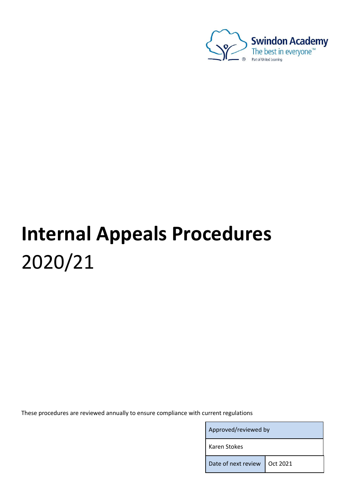

# **Internal Appeals Procedures** 2020/21

These procedures are reviewed annually to ensure compliance with current regulations

Approved/reviewed by

Karen Stokes

Date of next review | Oct 2021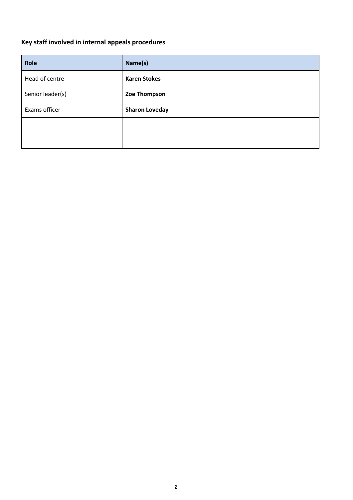# <span id="page-1-0"></span>**Key staff involved in internal appeals procedures**

| Role             | Name(s)               |  |
|------------------|-----------------------|--|
| Head of centre   | <b>Karen Stokes</b>   |  |
| Senior leader(s) | Zoe Thompson          |  |
| Exams officer    | <b>Sharon Loveday</b> |  |
|                  |                       |  |
|                  |                       |  |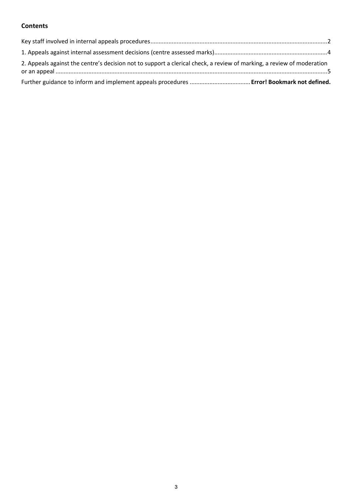# **Contents**

| 2. Appeals against the centre's decision not to support a clerical check, a review of marking, a review of moderation |  |
|-----------------------------------------------------------------------------------------------------------------------|--|
|                                                                                                                       |  |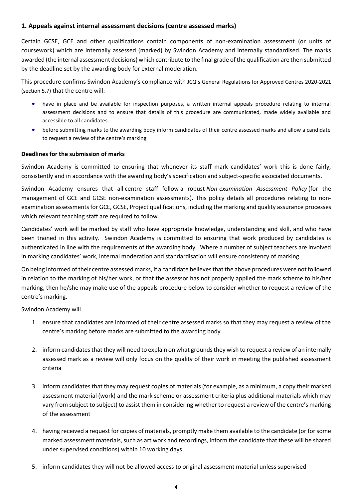### <span id="page-3-0"></span>**1. Appeals against internal assessment decisions (centre assessed marks)**

Certain GCSE, GCE and other qualifications contain components of non-examination assessment (or units of coursework) which are internally assessed (marked) by Swindon Academy and internally standardised. The marks awarded (the internal assessment decisions) which contribute to the final grade of the qualification are then submitted by the deadline set by the awarding body for external moderation.

This procedure confirms Swindon Academy's compliance with JCQ's General Regulations for Approved Centres 2020-2021 (section 5.7) that the centre will:

- have in place and be available for inspection purposes, a written internal appeals procedure relating to internal assessment decisions and to ensure that details of this procedure are communicated, made widely available and accessible to all candidates
- before submitting marks to the awarding body inform candidates of their centre assessed marks and allow a candidate to request a review of the centre's marking

#### **Deadlines for the submission of marks**

Swindon Academy is committed to ensuring that whenever its staff mark candidates' work this is done fairly, consistently and in accordance with the awarding body's specification and subject-specific associated documents.

Swindon Academy ensures that all centre staff follow a robust *Non-examination Assessment Policy* (for the management of GCE and GCSE non-examination assessments). This policy details all procedures relating to nonexamination assessments for GCE, GCSE, Project qualifications, including the marking and quality assurance processes which relevant teaching staff are required to follow.

Candidates' work will be marked by staff who have appropriate knowledge, understanding and skill, and who have been trained in this activity. Swindon Academy is committed to ensuring that work produced by candidates is authenticated in line with the requirements of the awarding body. Where a number of subject teachers are involved in marking candidates' work, internal moderation and standardisation will ensure consistency of marking.

On being informed of their centre assessed marks, if a candidate believes that the above procedures were not followed in relation to the marking of his/her work, or that the assessor has not properly applied the mark scheme to his/her marking, then he/she may make use of the appeals procedure below to consider whether to request a review of the centre's marking.

Swindon Academy will

- 1. ensure that candidates are informed of their centre assessed marks so that they may request a review of the centre's marking before marks are submitted to the awarding body
- 2. inform candidates that they will need to explain on what grounds they wish to request a review of an internally assessed mark as a review will only focus on the quality of their work in meeting the published assessment criteria
- 3. inform candidates that they may request copies of materials (for example, as a minimum, a copy their marked assessment material (work) and the mark scheme or assessment criteria plus additional materials which may vary from subject to subject) to assist them in considering whether to request a review of the centre's marking of the assessment
- 4. having received a request for copies of materials, promptly make them available to the candidate (or for some marked assessment materials, such as art work and recordings, inform the candidate that these will be shared under supervised conditions) within 10 working days
- 5. inform candidates they will not be allowed access to original assessment material unless supervised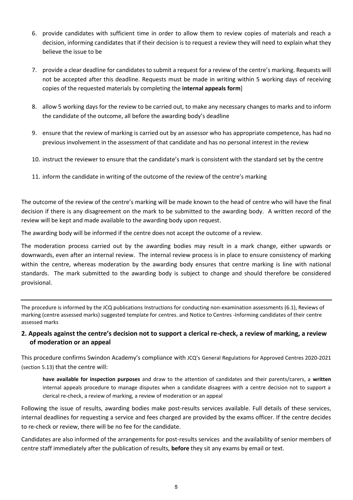- 6. provide candidates with sufficient time in order to allow them to review copies of materials and reach a decision, informing candidates that if their decision is to request a review they will need to explain what they believe the issue to be
- 7. provide a clear deadline for candidates to submit a request for a review of the centre's marking. Requests will not be accepted after this deadline. Requests must be made in writing within 5 working days of receiving copies of the requested materials by completing the **internal appeals form**]
- 8. allow 5 working days for the review to be carried out, to make any necessary changes to marks and to inform the candidate of the outcome, all before the awarding body's deadline
- 9. ensure that the review of marking is carried out by an assessor who has appropriate competence, has had no previous involvement in the assessment of that candidate and has no personal interest in the review
- 10. instruct the reviewer to ensure that the candidate's mark is consistent with the standard set by the centre
- 11. inform the candidate in writing of the outcome of the review of the centre's marking

The outcome of the review of the centre's marking will be made known to the head of centre who will have the final decision if there is any disagreement on the mark to be submitted to the awarding body. A written record of the review will be kept and made available to the awarding body upon request.

The awarding body will be informed if the centre does not accept the outcome of a review.

The moderation process carried out by the awarding bodies may result in a mark change, either upwards or downwards, even after an internal review. The internal review process is in place to ensure consistency of marking within the centre, whereas moderation by the awarding body ensures that centre marking is line with national standards. The mark submitted to the awarding body is subject to change and should therefore be considered provisional.

The procedure is informed by the JCQ publications [Instructions for conducting non-examination assessments](https://www.jcq.org.uk/exams-office/non-examination-assessments) (6.1)[, Reviews of](https://www.jcq.org.uk/exams-office/non-examination-assessments)  [marking \(centre assessed marks\) suggested template for centres.](https://www.jcq.org.uk/exams-office/non-examination-assessments) and [Notice to Centres -Informing candidates of their centre](https://www.jcq.org.uk/exams-office/non-examination-assessments)  [assessed marks](https://www.jcq.org.uk/exams-office/non-examination-assessments)

## <span id="page-4-0"></span>**2. Appeals against the centre's decision not to support a clerical re-check, a review of marking, a review of moderation or an appeal**

This procedure confirms Swindon Academy's compliance with JCQ's General Regulations for Approved Centres 2020-2021 (section 5.13) that the centre will:

**have available for inspection purposes** and draw to the attention of candidates and their parents/carers, a **written**  internal appeals procedure to manage disputes when a candidate disagrees with a centre decision not to support a clerical re-check, a review of marking, a review of moderation or an appeal

Following the issue of results, awarding bodies make post-results services available. Full details of these services, internal deadlines for requesting a service and fees charged are provided by the exams officer. If the centre decides to re-check or review, there will be no fee for the candidate.

Candidates are also informed of the arrangements for post-results services and the availability of senior members of centre staff immediately after the publication of results, **before** they sit any exams by email or text.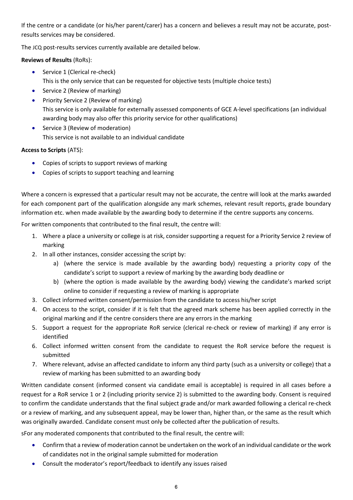If the centre or a candidate (or his/her parent/carer) has a concern and believes a result may not be accurate, postresults services may be considered.

The JCQ post-results services currently available are detailed below.

**Reviews of Results** (RoRs):

- Service 1 (Clerical re-check) This is the only service that can be requested for objective tests (multiple choice tests)
- Service 2 (Review of marking)
- Priority Service 2 (Review of marking) This service is only available for externally assessed components of GCE A-level specifications (an individual awarding body may also offer this priority service for other qualifications)
- Service 3 (Review of moderation) This service is not available to an individual candidate

# **Access to Scripts** (ATS):

- Copies of scripts to support reviews of marking
- Copies of scripts to support teaching and learning

Where a concern is expressed that a particular result may not be accurate, the centre will look at the marks awarded for each component part of the qualification alongside any mark schemes, relevant result reports, grade boundary information etc. when made available by the awarding body to determine if the centre supports any concerns.

For written components that contributed to the final result, the centre will:

- 1. Where a place a university or college is at risk, consider supporting a request for a Priority Service 2 review of marking
- 2. In all other instances, consider accessing the script by:
	- a) (where the service is made available by the awarding body) requesting a priority copy of the candidate's script to support a review of marking by the awarding body deadline or
	- b) (where the option is made available by the awarding body) viewing the candidate's marked script online to consider if requesting a review of marking is appropriate
- 3. Collect informed written consent/permission from the candidate to access his/her script
- 4. On access to the script, consider if it is felt that the agreed mark scheme has been applied correctly in the original marking and if the centre considers there are any errors in the marking
- 5. Support a request for the appropriate RoR service (clerical re-check or review of marking) if any error is identified
- 6. Collect informed written consent from the candidate to request the RoR service before the request is submitted
- 7. Where relevant, advise an affected candidate to inform any third party (such as a university or college) that a review of marking has been submitted to an awarding body

Written candidate consent (informed consent via candidate email is acceptable) is required in all cases before a request for a RoR service 1 or 2 (including priority service 2) is submitted to the awarding body. Consent is required to confirm the candidate understands that the final subject grade and/or mark awarded following a clerical re-check or a review of marking, and any subsequent appeal, may be lower than, higher than, or the same as the result which was originally awarded. Candidate consent must only be collected after the publication of results.

sFor any moderated components that contributed to the final result, the centre will:

- Confirm that a review of moderation cannot be undertaken on the work of an individual candidate or the work of candidates not in the original sample submitted for moderation
- Consult the moderator's report/feedback to identify any issues raised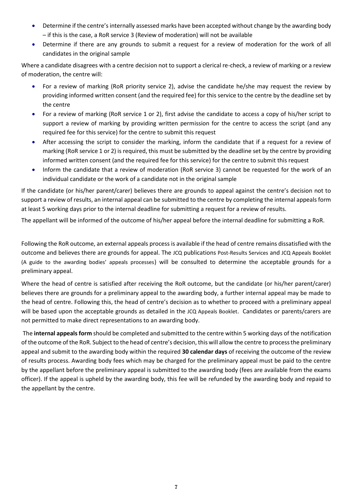- Determine if the centre's internally assessed marks have been accepted without change by the awarding body – if this is the case, a RoR service 3 (Review of moderation) will not be available
- Determine if there are any grounds to submit a request for a review of moderation for the work of all candidates in the original sample

Where a candidate disagrees with a centre decision not to support a clerical re-check, a review of marking or a review of moderation, the centre will:

- For a review of marking (RoR priority service 2), advise the candidate he/she may request the review by providing informed written consent (and the required fee) for this service to the centre by the deadline set by the centre
- For a review of marking (RoR service 1 or 2), first advise the candidate to access a copy of his/her script to support a review of marking by providing written permission for the centre to access the script (and any required fee for this service) for the centre to submit this request
- After accessing the script to consider the marking, inform the candidate that if a request for a review of marking (RoR service 1 or 2) is required, this must be submitted by the deadline set by the centre by providing informed written consent (and the required fee for this service) for the centre to submit this request
- Inform the candidate that a review of moderation (RoR service 3) cannot be requested for the work of an individual candidate or the work of a candidate not in the original sample

If the candidate (or his/her parent/carer) believes there are grounds to appeal against the centre's decision not to support a review of results, an internal appeal can be submitted to the centre by completing the internal appeals form at least 5 working days prior to the internal deadline for submitting a request for a review of results.

The appellant will be informed of the outcome of his/her appeal before the internal deadline for submitting a RoR.

Following the RoR outcome, an external appeals process is available if the head of centre remains dissatisfied with the outcome and believes there are grounds for appeal. The JCQ publications Post-Results Services and JCQ Appeals Booklet (A guide to the awarding bodies' appeals processes) will be consulted to determine the acceptable grounds for a preliminary appeal.

Where the head of centre is satisfied after receiving the RoR outcome, but the candidate (or his/her parent/carer) believes there are grounds for a preliminary appeal to the awarding body, a further internal appeal may be made to the head of centre. Following this, the head of centre's decision as to whether to proceed with a preliminary appeal will be based upon the acceptable grounds as detailed in the JCQ Appeals Booklet. Candidates or parents/carers are not permitted to make direct representations to an awarding body.

The **internal appeals form** should be completed and submitted to the centre within 5 working days of the notification of the outcome of the RoR. Subject to the head of centre's decision, this will allow the centre to process the preliminary appeal and submit to the awarding body within the required **30 calendar days** of receiving the outcome of the review of results process. Awarding body fees which may be charged for the preliminary appeal must be paid to the centre by the appellant before the preliminary appeal is submitted to the awarding body (fees are available from the exams officer). If the appeal is upheld by the awarding body, this fee will be refunded by the awarding body and repaid to the appellant by the centre.